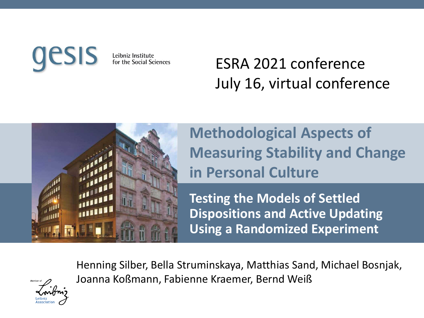Leibniz Institute for the Social Sciences

### ESRA 2021 conference July 16, virtual conference



**Methodological Aspects of Measuring Stability and Change in Personal Culture**

**Testing the Models of Settled Dispositions and Active Updating Using a Randomized Experiment**

Henning Silber, Bella Struminskaya, Matthias Sand, Michael Bosnjak, Joanna Koßmann, Fabienne Kraemer, Bernd Weiß

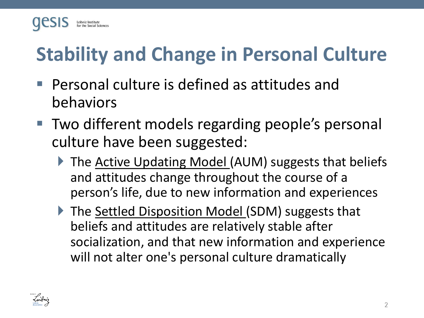

# **Stability and Change in Personal Culture**

- Personal culture is defined as attitudes and behaviors
- Two different models regarding people's personal culture have been suggested:
	- ▶ The Active Updating Model (AUM) suggests that beliefs and attitudes change throughout the course of a person's life, due to new information and experiences
	- ▶ The Settled Disposition Model (SDM) suggests that beliefs and attitudes are relatively stable after socialization, and that new information and experience will not alter one's personal culture dramatically

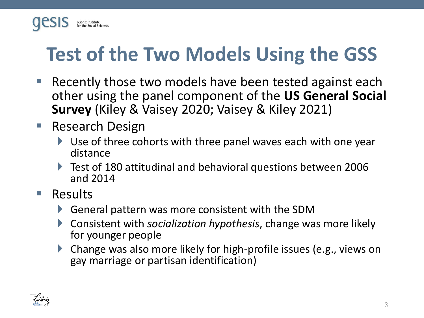

# **Test of the Two Models Using the GSS**

- Recently those two models have been tested against each other using the panel component of the **US General Social Survey** (Kiley & Vaisey 2020; Vaisey & Kiley 2021)
- Research Design
	- Use of three cohorts with three panel waves each with one year distance
	- Test of 180 attitudinal and behavioral questions between 2006 and 2014
- Results
	- General pattern was more consistent with the SDM
	- Consistent with *socialization hypothesis*, change was more likely for younger people
	- Change was also more likely for high-profile issues (e.g., views on gay marriage or partisan identification)

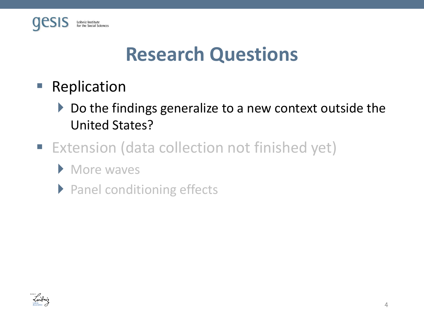

## **Research Questions**

- Replication
	- ▶ Do the findings generalize to a new context outside the United States?
- Extension (data collection not finished yet)
	- **More waves**
	- ▶ Panel conditioning effects

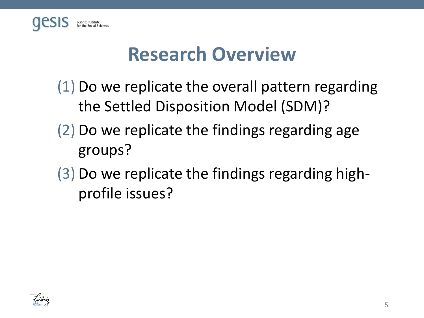

### **Research Overview**

- (1) Do we replicate the overall pattern regarding the Settled Disposition Model (SDM)?
- (2) Do we replicate the findings regarding age groups?
- (3) Do we replicate the findings regarding highprofile issues?

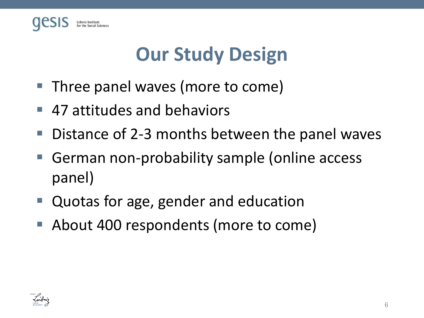

# **Our Study Design**

- Three panel waves (more to come)
- 47 attitudes and behaviors
- Distance of 2-3 months between the panel waves
- German non-probability sample (online access panel)
- Quotas for age, gender and education
- About 400 respondents (more to come)

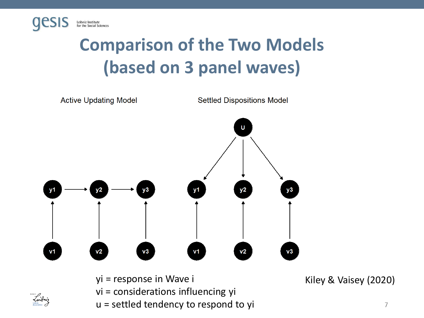

## **Comparison of the Two Models (based on 3 panel waves)**



- yi = response in Wave i Kiley & Vaisey (2020)
- vi = considerations influencing yi
- u = settled tendency to respond to yi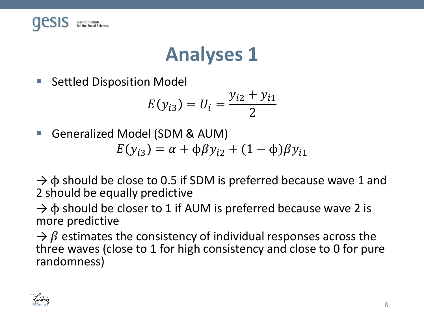

## **Analyses 1**

■ Settled Disposition Model

$$
E(y_{i3}) = U_i = \frac{y_{i2} + y_{i1}}{2}
$$

■ Generalized Model (SDM & AUM)

$$
E(y_{i3}) = \alpha + \phi \beta y_{i2} + (1 - \phi)\beta y_{i1}
$$

 $\rightarrow \phi$  should be close to 0.5 if SDM is preferred because wave 1 and 2 should be equally predictive

 $\rightarrow$   $\phi$  should be closer to 1 if AUM is preferred because wave 2 is more predictive

 $\rightarrow \beta$  estimates the consistency of individual responses across the three waves (close to 1 for high consistency and close to 0 for pure randomness)

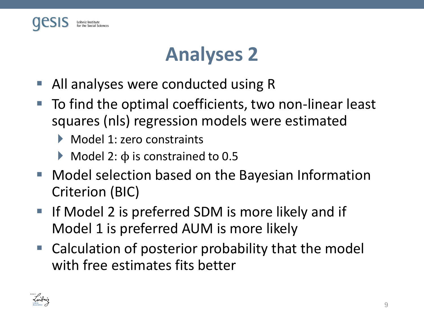

## **Analyses 2**

- All analyses were conducted using R
- To find the optimal coefficients, two non-linear least squares (nls) regression models were estimated
	- Model 1: zero constraints
	- $\blacktriangleright$  Model 2:  $\varphi$  is constrained to 0.5
- Model selection based on the Bayesian Information Criterion (BIC)
- If Model 2 is preferred SDM is more likely and if Model 1 is preferred AUM is more likely
- Calculation of posterior probability that the model with free estimates fits better

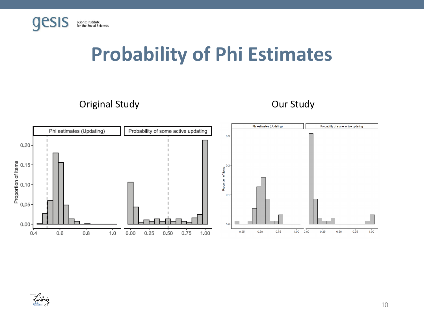

### **Probability of Phi Estimates**

Original Study **Our Study Our Study** 



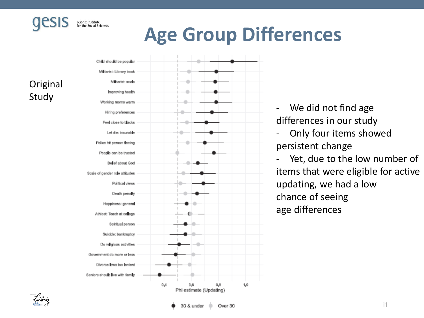

# **Age Group Differences**

**Original** Study



- We did not find age differences in our study
- Only four items showed persistent change

Yet, due to the low number of items that were eligible for active updating, we had a low chance of seeing age differences

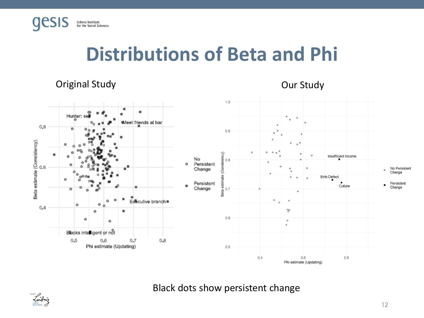

### **Distributions of Beta and Phi**

### Original Study Our Study





Black dots show persistent change

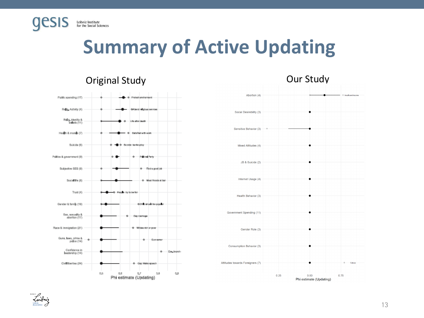

## **Summary of Active Updating**





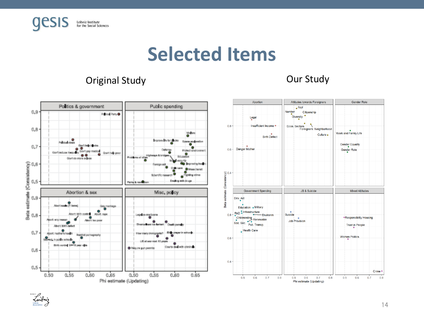

### **Selected Items**

### Original Study Our Study



Znibniz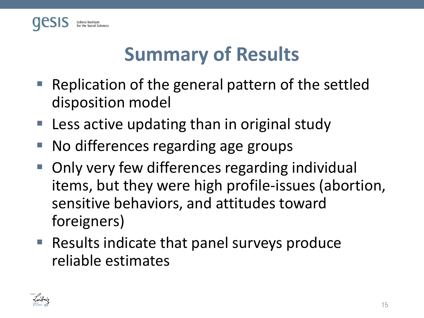

# **Summary of Results**

- Replication of the general pattern of the settled disposition model
- $\blacksquare$  Less active updating than in original study
- No differences regarding age groups
- Only very few differences regarding individual items, but they were high profile-issues (abortion, sensitive behaviors, and attitudes toward foreigners)
- Results indicate that panel surveys produce reliable estimates

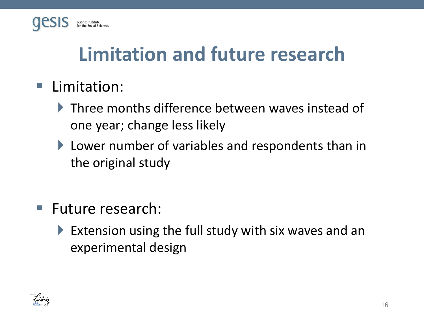

# **Limitation and future research**

- Limitation:
	- Three months difference between waves instead of one year; change less likely
	- **Lower number of variables and respondents than in** the original study
- Future research:
	- Extension using the full study with six waves and an experimental design

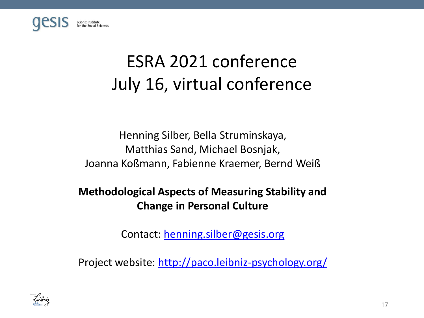

## ESRA 2021 conference July 16, virtual conference

Henning Silber, Bella Struminskaya, Matthias Sand, Michael Bosnjak, Joanna Koßmann, Fabienne Kraemer, Bernd Weiß

### **Methodological Aspects of Measuring Stability and Change in Personal Culture**

Contact: [henning.silber@gesis.org](mailto:henning.silber@gesis.org)

Project website: <http://paco.leibniz-psychology.org/>